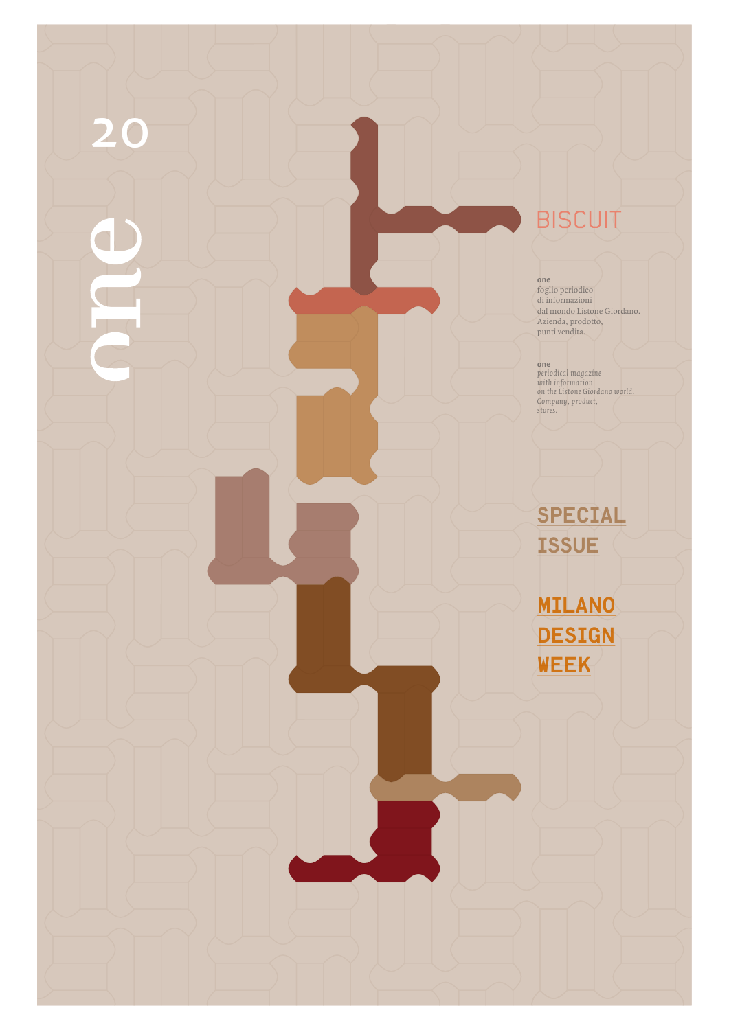## **BISCUIT**

20

**one** foglio periodico di informazioni dal mondo Listone Giordano. Azienda, prodotto, punti vendita.

**one** *periodical magazine with information on the Listone Giordano world. Company, product, stores.*

SPECIAL **ISSUE** 

MILANO DESIGN WEEK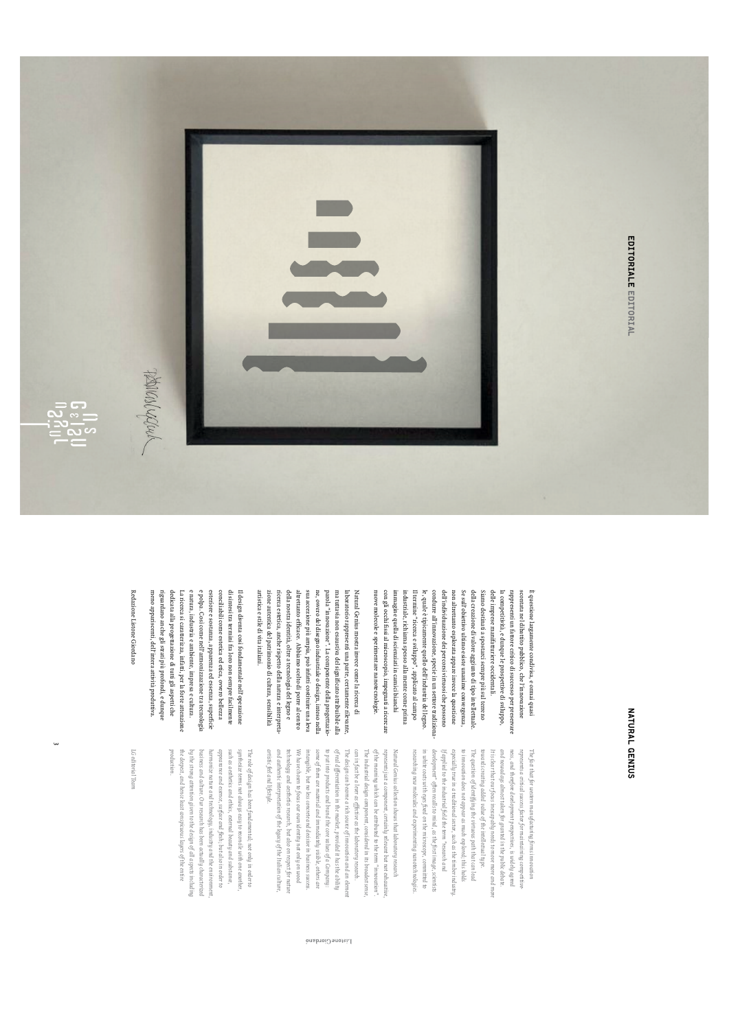



NATURAL GENIUS NATURAL GENIUS

con gli occhi fissi al microscopio, impegnati a ricercare Il termine "ricerca e sviluppo", applicato al campo le, quale è tipicamente quello dell'industria del legno. condurre all'innovazione, specie in un settore tradiziona dell'individuazione dei percorsi virtuosi che possono Se sull'obiettivo ultimo esiste unanime convergenza della creazione di valore aggiunto di tipo intellettuale delle imprese manifatturiere occidentali. la competitività, e dunque le prospettive di sviluppo, nuove molecole e sperimentare nanotecnologie. nuove molecole e sperimentare nanotecnologie. con gli occhi fissi al microscopio, impegnati a ricercare immagine quella di scienziati in camici bianchi immagine quella di scienziati in camici bianchi industriale, richiama spesso alla mente come prima industriale, richiama spesso alla mente come prima Il termine "ricerca e sviluppo", applicato al campo le, quale è tipicamente quello dell'industria del legno. condurre all'innovazione, specie in un settore tradiziona dell'individuazione dei percorsi virtuosi che possono non altrettanto esplorata appare invece la questione non altrettanto esplorata appare invece la questione Se sull'obiettivo ultimo esiste unanime convergenza, della creazione di valore aggiunto di tipo intellettuale. Siamo destinati a spostarci sempre più sul terreno Siamo destinati a spostarci sempre più sul terreno delle imprese manifatturiere occidentali. la competitività, e dunque le prospettive di sviluppo, rappresenti un fattore critico di successo per preservare rappresenti un fattore critico di successo per preservare scontata nel dibattito pubblico, che l'innovazione scontata nel dibattito pubblico, che l'innovazione E questione largamente condivisa, e ormai quasi È questione largamente condivisa, e ormai quasi

zione autentica del patrimonio di cultura, sensibilità altrettanto efficace. Abbiamo scelto di porre al centro sua accezione più ampia, può infatti costituire una leva ne, ovvero del disegno industriale o design, inteso nella parola "innovazione". La componente della progettazio ma tuttavia non esaustiva del significato attribuibile alla artistica e stile divita italiani. artistica e stile di vita italiani. zione autentica del patrimonio di cultura, sensibilità ricerca estetica, anche rispetto della natura e interpretaricerca estetica, anche rispetto della natura e interpreta della nostra identità, oltre a tecnologia del legno e della nostra identità, oltre a tecnologia del legno e altrettanto efficace. Abbiamo scelto di porre al centro sua accezione più ampia, può infatti costituire una leva ne, ovvero del disegno industriale o design, inteso nella parola "innovazione". La componente della progettazio ma tuttavia non esaustiva del significato attribuibile alla laboratorio rappresenti una parte, certamente rilevante laboratorio rappresenti una parte, certamente rilevante, Natural Genius mostra invece come la ricerca di Natural Genius mostra invece come la ricerca di

e polpa. Così come nell'armonizzazione tra tecnologia di sintesi tra termini fra loro non sempre facilmente meno appariscenti, dell'intera attività produttiva meno appariscenti, dell'intera attività produttiva. riguardano anche gli strati più profondi, e dunque riguardano anche gli strati più profondi, e dunque dedicata alla progettazione di tutti gli aspetti che dedicata alla progettazione di tutti gli aspetti che La ricerca si caratterizza, infatti, per la forte attenzione La ricerca si caratterizza, infatti, per la forte attenzione e natura, industria e ambiente, impresa e cultura. e natura, industria e ambiente, impresa e cultura. e polpa. Così come nell'armonizzazione tra tecnologia esteriore e sostanza, apparenza ed essenza, superficie esteriore e sostanza, apparenza ed essenza, superficie conciliabili come estetica ed etica, ovvero bellezza conciliabili come estetica ed etica, ovvero bellezza di sintesi tra termini fra loro non sempre facilmente Il design diventa così fondamentale nell'operazione Il design diventa così fondamentale nell'operazione

Redazione Listone Giordano Redazione Listone Giordano

> researching new molecules and experimenting nanotechnologies in white coats with eyes fixed on the microscope, committed to development" often recalls to mind, as the first image, scientists If applied to the industrial field the term" research and especially true in a traditional sector, such as the timber industry to imnovation does not appear as much explored; this holds The question of identifying the virtuous path that can lead towards creating added value of the intellectual type. It is clear that our focus inescapably needs to move more and mor and nowadays almost taken for granted in the public debate. ness, and therefore development perspectives, is widely agreed represents a critical success factor for maintaining competitive The fact that for western manufacturing firms innovation *researching new molecules and experimenting nanotechnologies. in white coats with eyes fixed on the microscope, committed to development" often recalls to mind, as the first image, scientists If applied to the industrial field the term "research and especially true in a traditional sector, such as the timber industry. to innovation does not appear as much explored; this holds The question of identifying the virtuous path that can lead towards creating added value of the intellectual type. It is clear that our focus inescapably needs to move more and more and nowadays almost taken for granted in the public debate. ness, and therefore development perspectives, is widely agreed represents a critical success factor for maintaining competitive The fact that for western manufacturing firms innovation*

artistic feel and lifestyle. and authentic interpretation of the legacy of the Italian culture technology and aesthetics research, but also on respect for natur We have chosen to focus our own identity not only on wood intangible, but no less concrete and decisive in business success some of them are material and immediately visible, others are to put into products and brand the core values of a Company: of real differentiation in the market, provided it has the ability The design can become a rich source of innovation and an elemen can in fact be a lever as effective as the laboratory research. The industrial design component, considered in its broadest sense of the meaning which can be attributed to the term "imnoution' represents just a component, certainly relevant but not exhaustii Natural Genius collection shows that laboratory research *artistic feel and lifestyle. and authentic interpretation of the legacy of the Italian culture, technology and aesthetics research, but also on respect for nature We have chosen to focus our own identity not only on wood intangible, but no less concrete and decisive in business success. some of them are material and immediately visible, others are to put into products and brand the core values of a Company: of real differentiation in the market, provided it has the ability The design can become a rich source of innovation and an element can in fact be a lever as effective as the laboratory research. The industrial design component, considered in its broadest sense, of the meaning which can be attributed to the term "innovation". represents just a component, certainly relevant but not exhaustive, Natural Genius collection shows that laboratory research* 

Listone Giordano

*production.* the deepest, and hence least conspicuous layers of the entire by the strong attention given to the design of all aspects including business and culture. Our research has been actually characterized harmonize nature and technology, industry and the environment appearance and essence, surface and flesh; but also in order to such as a esthetics and ethics, external beauty and substance, synthesize terms not always easy to reconcile with one another The role of design has been fundamental; not only in order to *the deepest, and hence least conspicuous layers of the entire by the strong attention given to the design of all aspects including business and culture. Our research has been actually characterized harmonize nature and technology, industry and the environment, appearance and essence, surface and flesh; but also in order to such as aesthetics and ethics, external beauty and substance, synthesize terms not always easy to reconcile with one another, The role of design has been fundamental; not only in order to* 

LG editorial Tean *LG editorial Team*

<u>س</u>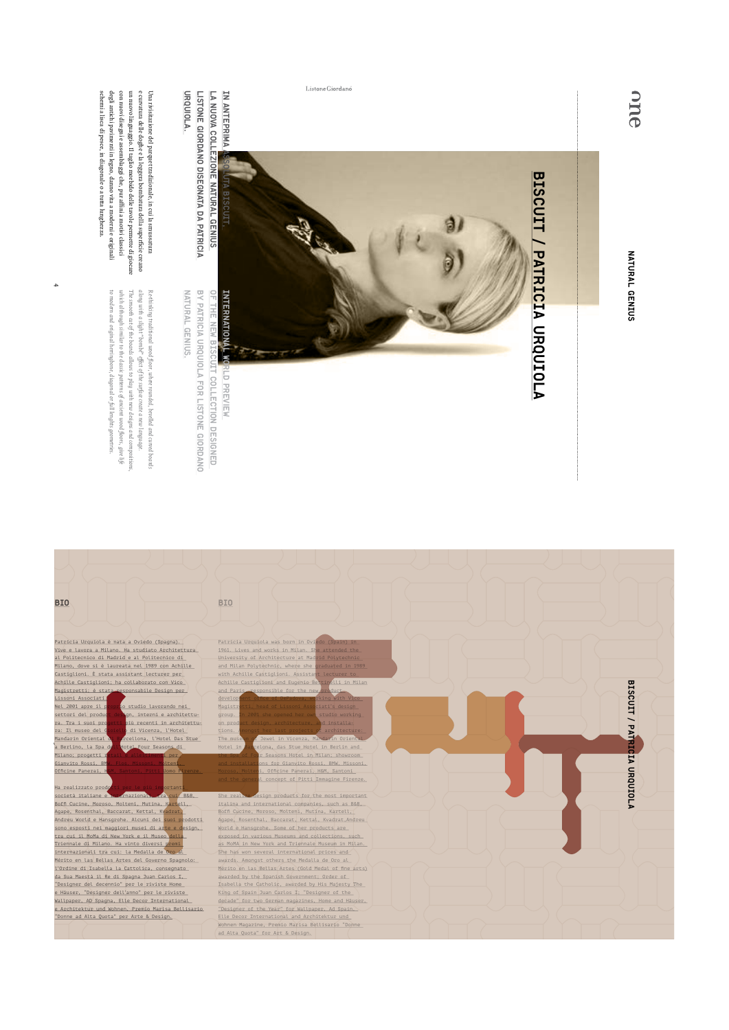one

NATURAL GENIUS NATURAL GENIUS



Listone Giordano

LISTONE GIORDANO DISEGNATA DA PATRICIA LA NUOVA COLLEZIONE NATURAL GENIUS URQUIOLA. URQUIOLA. Listone Giordano disegnata da Patricia la nuova collezione Natural Genius

Natural Genius.

**NATURAL GENIUS.** 

by Patricia Urquiola for Listone Giordano

BY PATRICIA URQUIOLA FOR LISTONE GIORDANO

designED

e curvatura delle doghe e la leggera bombatura della superficie creano<br>un nuovo linguaggio. Il taglio morbido delle tavole permette di giocare con nuovi disegni e assemblaggi che, pur affini a motivi classici schemi a lisca di pesce, in diagonale o a tutta lunghezza. degli antichi pavimenti in legno, danno vita a moderni e originali Una rivisitazione del parquet tradizionale, in cui la smussatura schemi a lisca di pesce, in diagonale o a tutta lunghezza. degli antichi pavimenti in legno, danno vita a moderni con nuovi disegni e assemblaggi che, pur affini a motivi classici un nuovo linguaggio. Il taglio morbido delle tavole permette di giocare e curvatura delle doghe e la leggera bombatura della superficie creano Una rivisitazione del parquet tradizionale, in cui la smussatura

4

The smooth cat of the boards allows to play with new designs and compositions<br>which although similar to the classic patterns of ancient wood floors, give life *which although similar to the classic patterns of ancient wood floors, give life The smooth cut of the boards allows to play with new designs and compositions,*  along with a slight "bombé" effect of the surface create a new language. *along with a slight "bombé" effect of the surface create a new language.*  Re-thinking traditional wood floor, where rounded, bevelled and curved boards *Re-thinking traditional wood floor, where rounded, bevelled and curved boards* 

*to modern and original herringbone, diagonal or full lenghts geometries.*

to modern and original herringbone, diagonal or full lenghts geometries.

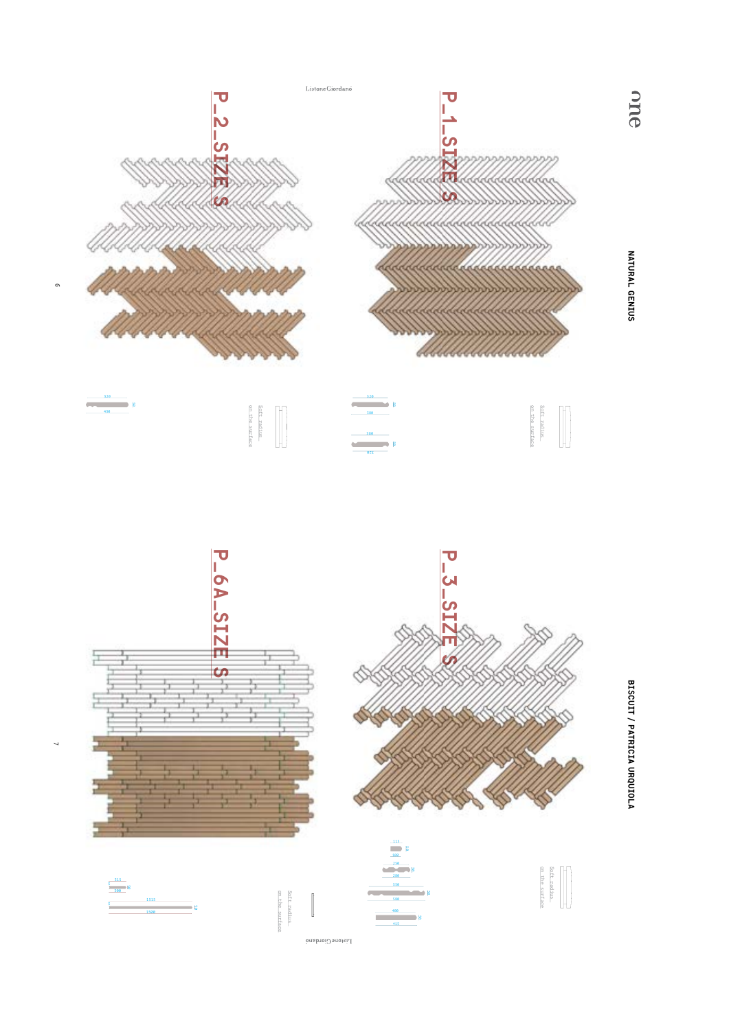



 $\Gamma$ istone<br>Ciordano

 $\checkmark$ 

BISCUIT / PATRICIA URQUIOLA BISCUIT / PATRICIA URQUIOLA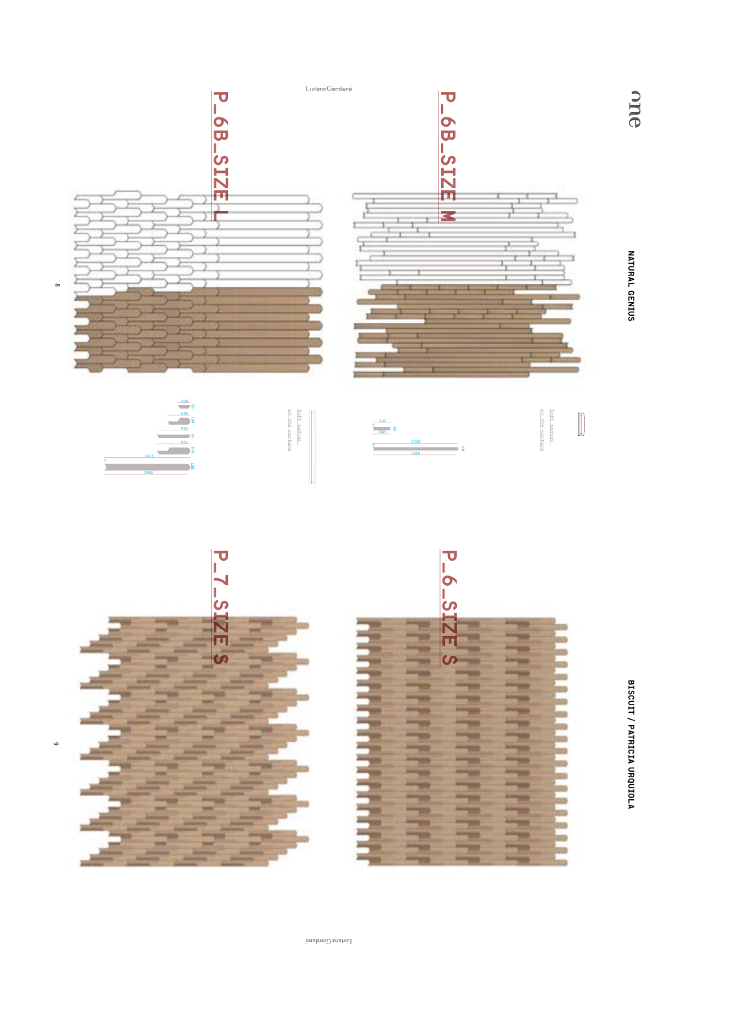

BISCUIT / PATRICIA URQUIOLA BISCUIT / PATRICIA URQUIOLA

NATURAL GENIUS

one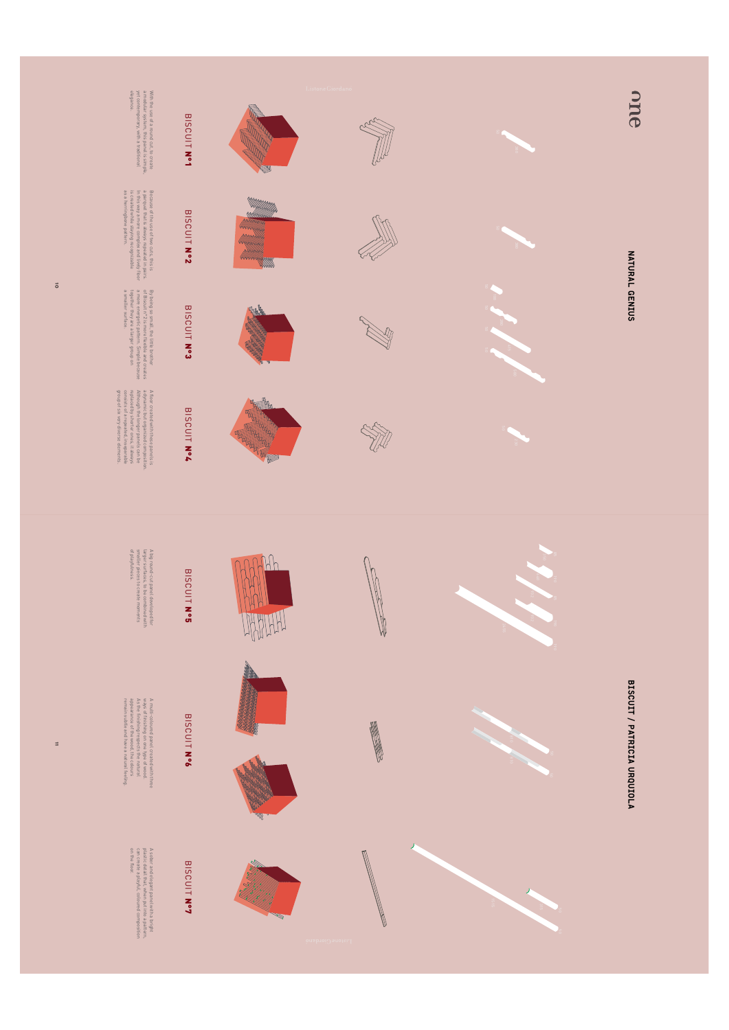

 $\overline{5}$ 

1<sub>11</sub>